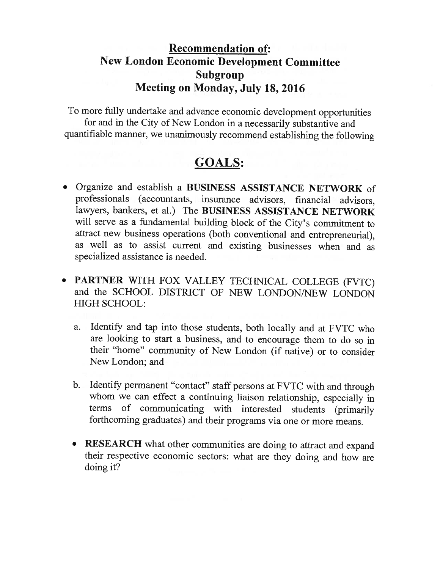## Recommendation of: New London Economic Development Committee Subgroup Meeting on Monday, July 18, 2016

To more fully undertake and advance economic development opportunities for and in the City of New London in <sup>a</sup> necessarily substantive and quantifiable manner, we unanimously recommend establishing the following

## GOALS:

- Organize and establish a BUSINESS ASSISTANCE NETWORK of professionals (accountants, insurance advisors, financial advisors, lawyers, bankers, et al.) The BUSINESS ASSISTANCE NETWORK will serve as <sup>a</sup> fundamental building block of the City's commitment to attract new business operations (both conventional and entrepreneurial), as well as to assist current and existing businesses when and as specialized assistance is needed.
- PARTNER WITH FOX VALLEY TECHNICAL COLLEGE (FVTC) and the SCHOOL DISTRICT OF NEW LONDON/NEW LONDON HIGH SCHOOL:
	- a. Identify and tap into those students, both locally and at FVTC who are looking to start <sup>a</sup> business, and to encourage them to do so in their "home" community of New London (if native) or to consider New London; and
	- b. Identify permanent "contact" staff persons at FVTC with and through whom we can effect <sup>a</sup> continuing liaison relationship, especially in terms of communicating with interested students (primarily forthcoming graduates) and their programs via one or more means.
	- $\bullet$ RESEARCH what other communities are doing to attract and expand their respective economic sectors: what are they doing and how are doing it?